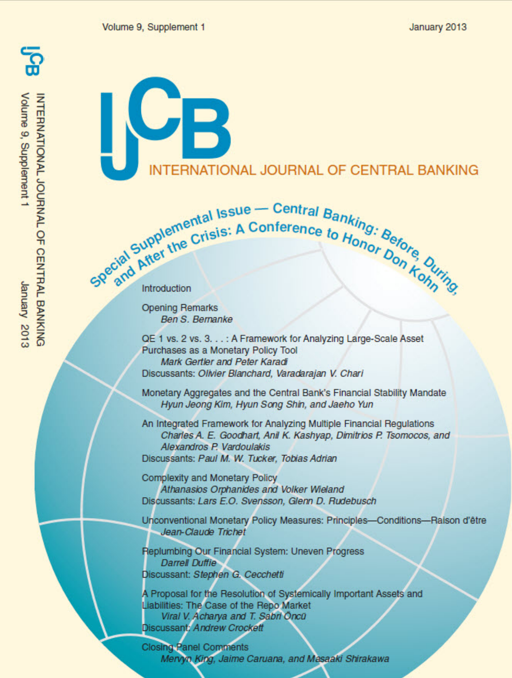INTERNATIONAL JOURNAL OF CENTRAL BANKING<br>Volume 9, Supplement 1 St02 Arenuer

# **ERNATIONAL JOURNAL OF CENTRAL BANKING**

Special Supplemental Issue - Central Banking: Before the Crisis: A Conference to Honor Before Ourney

**Opening Remarks Ben S. Bernanke** 

QE 1 vs. 2 vs. 3. . . : A Framework for Analyzing Large-Scale Asset Purchases as a Monetary Policy Tool Mark Gertler and Peter Karadi Discussants: Olivier Blanchard, Varadarajan V. Chari

Monetary Aggregates and the Central Bank's Financial Stability Mandate Hyun Jeong Kim, Hyun Song Shin, and Jaeho Yun

An Integrated Framework for Analyzing Multiple Financial Regulations Charles A. E. Goodhart, Anil K. Kashyap, Dimitrios P. Tsomocos, and Alexandros P. Vardoulakis Discussants: Paul M. W. Tucker, Tobias Adrian

**Complexity and Monetary Policy** Athanasios Orphanides and Volker Wieland Discussants: Lars E.O. Svensson, Glenn D. Rudebusch

Unconventional Monetary Policy Measures: Principles-Conditions-Raison d'être Jean-Claude Trichet

Replumbing Our Financial System: Uneven Progress **Darrell Duffie** Discussant: Stephen G. Cecchetti

A Proposal for the Resolution of Systemically Important Assets and Liabilities: The Case of the Repo Market Viral V. Acharya and T. Sabri Öncü Discussant: Andrew Crockett

**Closing Panel Comments** Mervyn King, Jaime Caruana, and Masaaki Shirakawa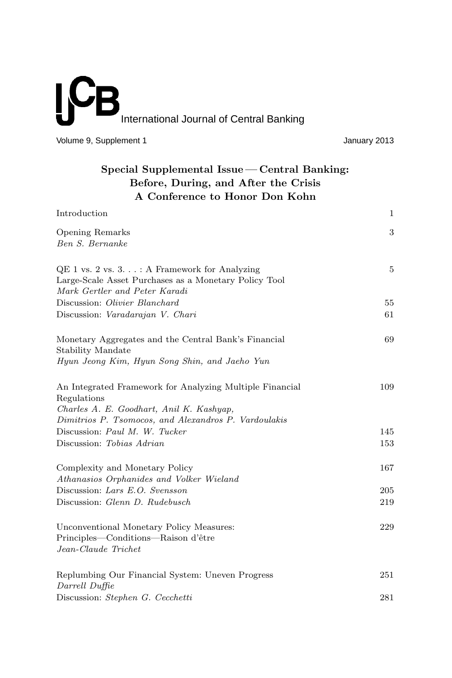# **ICI**  $\overline{\mathsf{B}}$ International Journal of Central Banking

Volume 9, Supplement 1 Volume 9, Supplement 1

| Special Supplemental Issue — Central Banking: |
|-----------------------------------------------|
| Before, During, and After the Crisis          |
| A Conference to Honor Don Kohn                |

| Introduction                                                                                                                                                                | 1   |
|-----------------------------------------------------------------------------------------------------------------------------------------------------------------------------|-----|
| Opening Remarks<br>Ben S. Bernanke                                                                                                                                          | 3   |
| $QE 1$ vs. 2 vs. 3. $\ldots$ : A Framework for Analyzing<br>Large-Scale Asset Purchases as a Monetary Policy Tool<br>Mark Gertler and Peter Karadi                          | 5   |
| Discussion: Olivier Blanchard                                                                                                                                               | 55  |
| Discussion: Varadarajan V. Chari                                                                                                                                            | 61  |
| Monetary Aggregates and the Central Bank's Financial<br>Stability Mandate<br>Hyun Jeong Kim, Hyun Song Shin, and Jaeho Yun                                                  | 69  |
| An Integrated Framework for Analyzing Multiple Financial<br>Regulations<br>Charles A. E. Goodhart, Anil K. Kashyap,<br>Dimitrios P. Tsomocos, and Alexandros P. Vardoulakis | 109 |
| Discussion: Paul M. W. Tucker                                                                                                                                               | 145 |
| Discussion: Tobias Adrian                                                                                                                                                   | 153 |
| Complexity and Monetary Policy<br>Athanasios Orphanides and Volker Wieland                                                                                                  | 167 |
| Discussion: Lars E.O. Svensson                                                                                                                                              | 205 |
| Discussion: Glenn D. Rudebusch                                                                                                                                              | 219 |
| Unconventional Monetary Policy Measures:<br>Principles—Conditions—Raison d'être<br>Jean-Claude Trichet                                                                      | 229 |
| Replumbing Our Financial System: Uneven Progress<br>Darrell Duffie                                                                                                          | 251 |
| Discussion: Stephen G. Cecchetti                                                                                                                                            | 281 |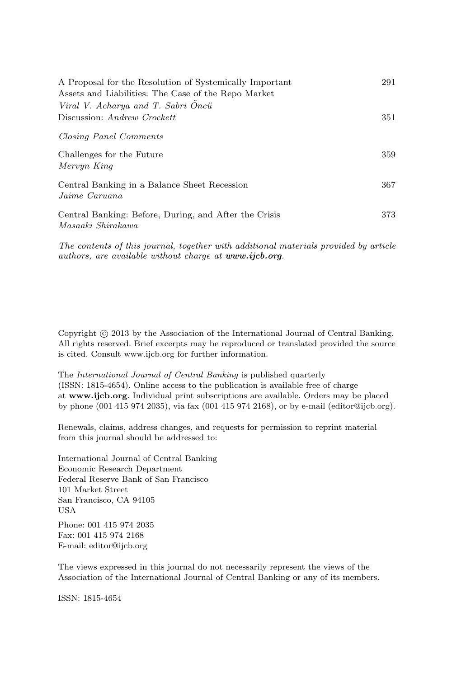| A Proposal for the Resolution of Systemically Important<br>Assets and Liabilities: The Case of the Repo Market | 291 |
|----------------------------------------------------------------------------------------------------------------|-----|
| Viral V. Acharya and T. Sabri Öncü                                                                             |     |
| Discussion: Andrew Crockett                                                                                    | 351 |
| Closing Panel Comments                                                                                         |     |
| Challenges for the Future                                                                                      | 359 |
| Mervyn King                                                                                                    |     |
| Central Banking in a Balance Sheet Recession                                                                   | 367 |
| Jaime Caruana                                                                                                  |     |
| Central Banking: Before, During, and After the Crisis                                                          | 373 |
| Masaaki Shirakawa                                                                                              |     |

The contents of this journal, together with additional materials provided by article authors, are available without charge at *www.ijcb.org*.

Copyright  $\odot$  2013 by the Association of the International Journal of Central Banking. All rights reserved. Brief excerpts may be reproduced or translated provided the source is cited. Consult www.ijcb.org for further information.

The International Journal of Central Banking is published quarterly (ISSN: 1815-4654). Online access to the publication is available free of charge at **www.ijcb.org**. Individual print subscriptions are available. Orders may be placed by phone (001 415 974 2035), via fax (001 415 974 2168), or by e-mail (editor@ijcb.org).

Renewals, claims, address changes, and requests for permission to reprint material from this journal should be addressed to:

International Journal of Central Banking Economic Research Department Federal Reserve Bank of San Francisco 101 Market Street San Francisco, CA 94105 USA

Phone: 001 415 974 2035 Fax: 001 415 974 2168 E-mail: editor@ijcb.org

The views expressed in this journal do not necessarily represent the views of the Association of the International Journal of Central Banking or any of its members.

ISSN: 1815-4654